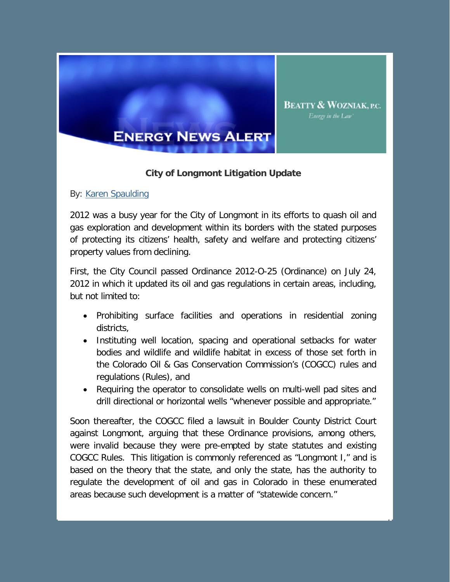

## **City of Longmont Litigation Update**

**BEATTY & WOZNIAK, P.C.** Energy in the Law'

By: [Karen Spaulding](http://www.bwenergylaw.com/Attorneys/KSpaulding.asp)

2012 was a busy year for the City of Longmont in its efforts to quash oil and gas exploration and development within its borders with the stated purposes of protecting its citizens' health, safety and welfare and protecting citizens' property values from declining.

First, the City Council passed Ordinance 2012-O-25 (Ordinance) on July 24, 2012 in which it updated its oil and gas regulations in certain areas, including, but not limited to:

- Prohibiting surface facilities and operations in residential zoning districts,
- Instituting well location, spacing and operational setbacks for water bodies and wildlife and wildlife habitat in excess of those set forth in the Colorado Oil & Gas Conservation Commission's (COGCC) rules and regulations (Rules), and
- Requiring the operator to consolidate wells on multi-well pad sites and drill directional or horizontal wells "whenever possible and appropriate."

Soon thereafter, the COGCC filed a lawsuit in Boulder County District Court against Longmont, arguing that these Ordinance provisions, among others, were invalid because they were pre-empted by state statutes and existing COGCC Rules. This litigation is commonly referenced as "Longmont I," and is based on the theory that the state, and only the state, has the authority to regulate the development of oil and gas in Colorado in these enumerated areas because such development is a matter of "statewide concern."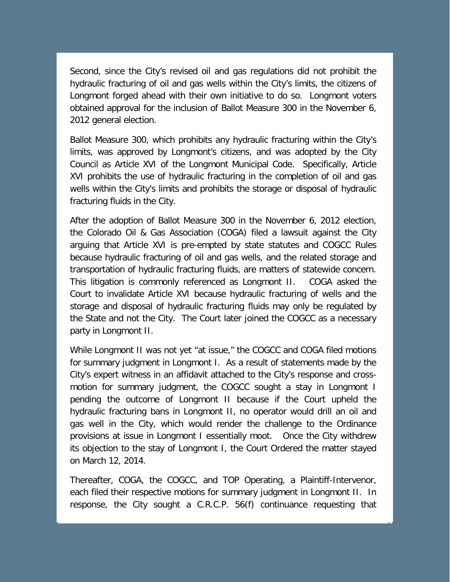Second, since the City's revised oil and gas regulations did not prohibit the hydraulic fracturing of oil and gas wells within the City's limits, the citizens of Longmont forged ahead with their own initiative to do so. Longmont voters obtained approval for the inclusion of Ballot Measure 300 in the November 6, 2012 general election.

Ballot Measure 300, which prohibits any hydraulic fracturing within the City's limits, was approved by Longmont's citizens, and was adopted by the City Council as Article XVI of the Longmont Municipal Code. Specifically, Article XVI prohibits the use of hydraulic fracturing in the completion of oil and gas wells within the City's limits and prohibits the storage or disposal of hydraulic fracturing fluids in the City.

After the adoption of Ballot Measure 300 in the November 6, 2012 election, the Colorado Oil & Gas Association (COGA) filed a lawsuit against the City arguing that Article XVI is pre-empted by state statutes and COGCC Rules because hydraulic fracturing of oil and gas wells, and the related storage and transportation of hydraulic fracturing fluids, are matters of statewide concern. This litigation is commonly referenced as Longmont II. COGA asked the Court to invalidate Article XVI because hydraulic fracturing of wells and the storage and disposal of hydraulic fracturing fluids may only be regulated by the State and not the City. The Court later joined the COGCC as a necessary party in Longmont II.

While Longmont II was not yet "at issue," the COGCC and COGA filed motions for summary judgment in Longmont I. As a result of statements made by the City's expert witness in an affidavit attached to the City's response and crossmotion for summary judgment, the COGCC sought a stay in Longmont I pending the outcome of Longmont II because if the Court upheld the hydraulic fracturing bans in Longmont II, no operator would drill an oil and gas well in the City, which would render the challenge to the Ordinance provisions at issue in Longmont I essentially moot. Once the City withdrew its objection to the stay of Longmont I, the Court Ordered the matter stayed on March 12, 2014.

Thereafter, COGA, the COGCC, and TOP Operating, a Plaintiff-Intervenor, each filed their respective motions for summary judgment in Longmont II. In response, the City sought a C.R.C.P. 56(f) continuance requesting that